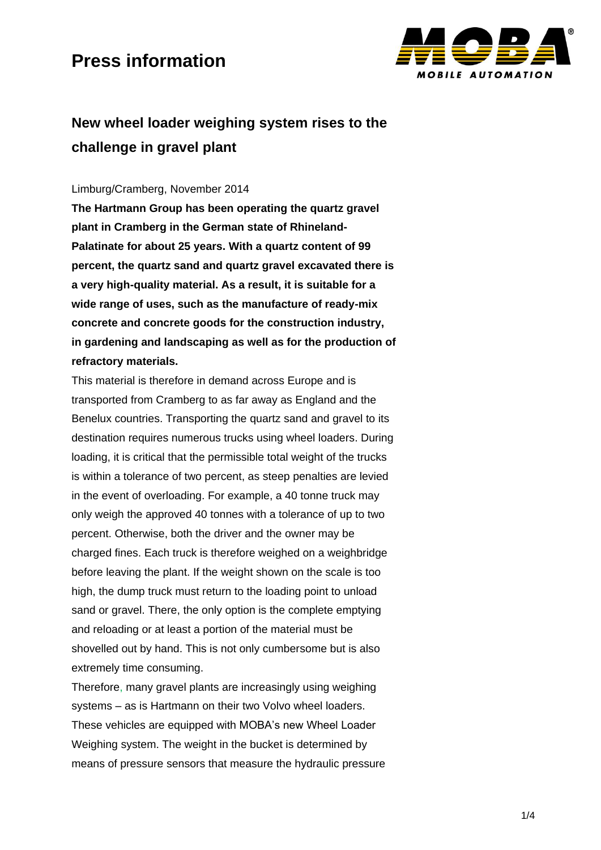

### **New wheel loader weighing system rises to the challenge in gravel plant**

#### Limburg/Cramberg, November 2014

**The Hartmann Group has been operating the quartz gravel plant in Cramberg in the German state of Rhineland-Palatinate for about 25 years. With a quartz content of 99 percent, the quartz sand and quartz gravel excavated there is a very high-quality material. As a result, it is suitable for a wide range of uses, such as the manufacture of ready-mix concrete and concrete goods for the construction industry, in gardening and landscaping as well as for the production of refractory materials.** 

This material is therefore in demand across Europe and is transported from Cramberg to as far away as England and the Benelux countries. Transporting the quartz sand and gravel to its destination requires numerous trucks using wheel loaders. During loading, it is critical that the permissible total weight of the trucks is within a tolerance of two percent, as steep penalties are levied in the event of overloading. For example, a 40 tonne truck may only weigh the approved 40 tonnes with a tolerance of up to two percent. Otherwise, both the driver and the owner may be charged fines. Each truck is therefore weighed on a weighbridge before leaving the plant. If the weight shown on the scale is too high, the dump truck must return to the loading point to unload sand or gravel. There, the only option is the complete emptying and reloading or at least a portion of the material must be shovelled out by hand. This is not only cumbersome but is also extremely time consuming.

Therefore, many gravel plants are increasingly using weighing systems – as is Hartmann on their two Volvo wheel loaders. These vehicles are equipped with MOBA's new Wheel Loader Weighing system. The weight in the bucket is determined by means of pressure sensors that measure the hydraulic pressure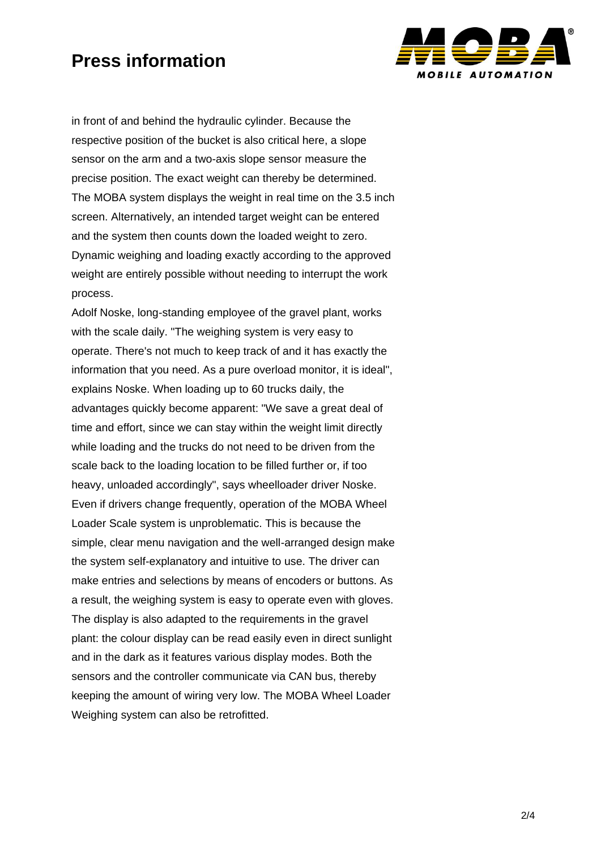

in front of and behind the hydraulic cylinder. Because the respective position of the bucket is also critical here, a slope sensor on the arm and a two-axis slope sensor measure the precise position. The exact weight can thereby be determined. The MOBA system displays the weight in real time on the 3.5 inch screen. Alternatively, an intended target weight can be entered and the system then counts down the loaded weight to zero. Dynamic weighing and loading exactly according to the approved weight are entirely possible without needing to interrupt the work process.

Adolf Noske, long-standing employee of the gravel plant, works with the scale daily. "The weighing system is very easy to operate. There's not much to keep track of and it has exactly the information that you need. As a pure overload monitor, it is ideal", explains Noske. When loading up to 60 trucks daily, the advantages quickly become apparent: "We save a great deal of time and effort, since we can stay within the weight limit directly while loading and the trucks do not need to be driven from the scale back to the loading location to be filled further or, if too heavy, unloaded accordingly", says wheelloader driver Noske. Even if drivers change frequently, operation of the MOBA Wheel Loader Scale system is unproblematic. This is because the simple, clear menu navigation and the well-arranged design make the system self-explanatory and intuitive to use. The driver can make entries and selections by means of encoders or buttons. As a result, the weighing system is easy to operate even with gloves. The display is also adapted to the requirements in the gravel plant: the colour display can be read easily even in direct sunlight and in the dark as it features various display modes. Both the sensors and the controller communicate via CAN bus, thereby keeping the amount of wiring very low. The MOBA Wheel Loader Weighing system can also be retrofitted.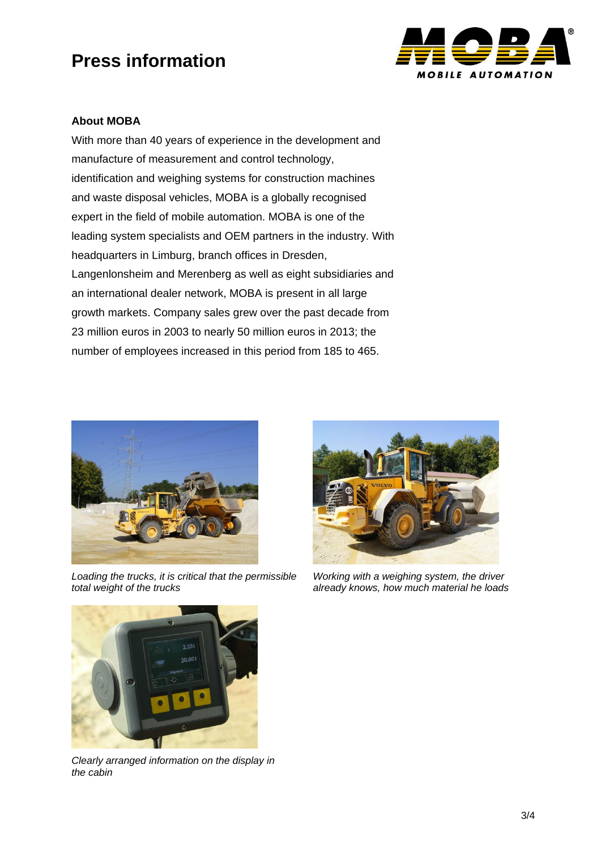

#### **About MOBA**

With more than 40 years of experience in the development and manufacture of measurement and control technology, identification and weighing systems for construction machines and waste disposal vehicles, MOBA is a globally recognised expert in the field of mobile automation. MOBA is one of the leading system specialists and OEM partners in the industry. With headquarters in Limburg, branch offices in Dresden, Langenlonsheim and Merenberg as well as eight subsidiaries and an international dealer network, MOBA is present in all large growth markets. Company sales grew over the past decade from 23 million euros in 2003 to nearly 50 million euros in 2013; the number of employees increased in this period from 185 to 465.



*Loading the trucks, it is critical that the permissible total weight of the trucks* 



*Working with a weighing system, the driver already knows, how much material he loads*



*Clearly arranged information on the display in the cabin*